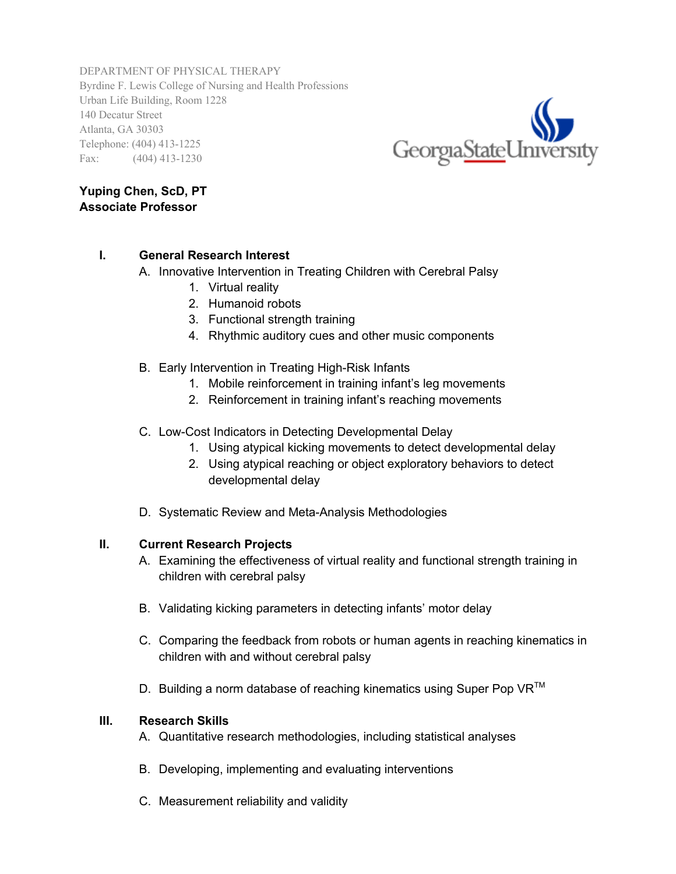DEPARTMENT OF PHYSICAL THERAPY Byrdine F. Lewis College of Nursing and Health Professions Urban Life Building, Room 1228 140 Decatur Street Atlanta, GA 30303 Telephone: (404) 413-1225 Fax: (404) 413-1230



## **Yuping Chen, ScD, PT Associate Professor**

## **I. General Research Interest**

- A. Innovative Intervention in Treating Children with Cerebral Palsy
	- 1. Virtual reality
	- 2. Humanoid robots
	- 3. Functional strength training
	- 4. Rhythmic auditory cues and other music components
- B. Early Intervention in Treating High-Risk Infants
	- 1. Mobile reinforcement in training infant's leg movements
	- 2. Reinforcement in training infant's reaching movements
- C. Low-Cost Indicators in Detecting Developmental Delay
	- 1. Using atypical kicking movements to detect developmental delay
	- 2. Using atypical reaching or object exploratory behaviors to detect developmental delay
- D. Systematic Review and Meta-Analysis Methodologies

## **II. Current Research Projects**

- A. Examining the effectiveness of virtual reality and functional strength training in children with cerebral palsy
- B. Validating kicking parameters in detecting infants' motor delay
- C. Comparing the feedback from robots or human agents in reaching kinematics in children with and without cerebral palsy
- D. Building a norm database of reaching kinematics using Super Pop  $VR^{TM}$

## **III. Research Skills**

- A. Quantitative research methodologies, including statistical analyses
- B. Developing, implementing and evaluating interventions
- C. Measurement reliability and validity